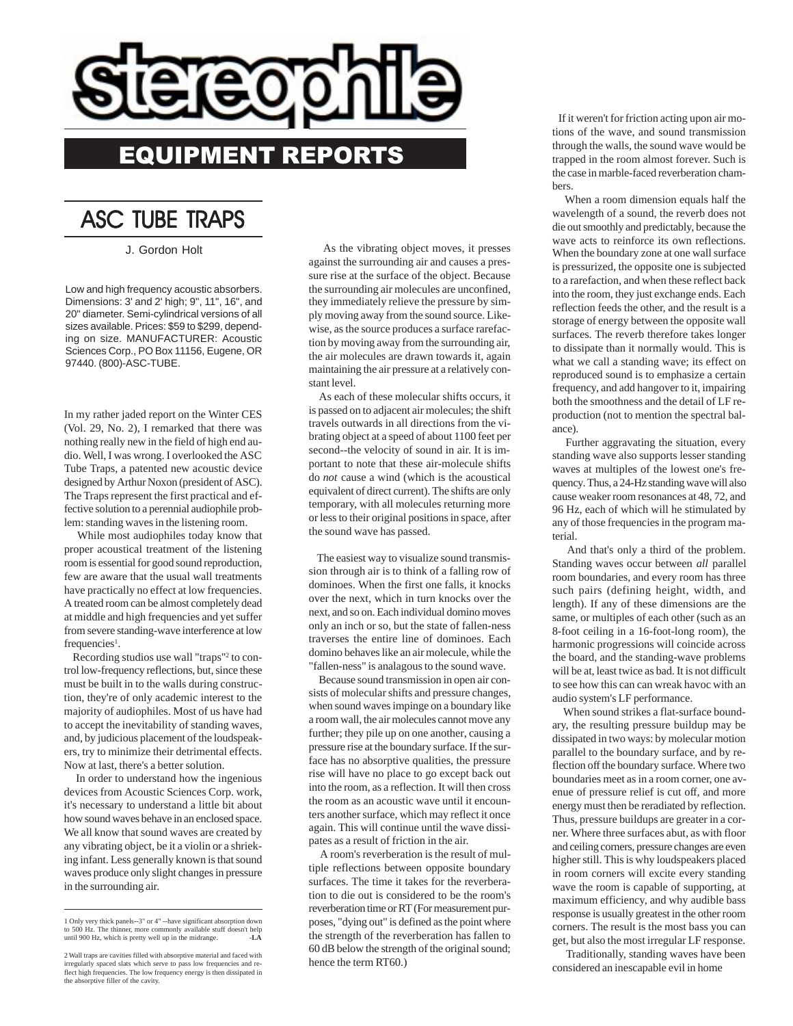

## **ASC TUBE TRAPS**

J. Gordon Holt

Low and high frequency acoustic absorbers. Dimensions: 3' and 2' high; 9", 11", 16", and 20" diameter. Semi-cylindrical versions of all sizes available. Prices: \$59 to \$299, depending on size. MANUFACTURER: Acoustic Sciences Corp., PO Box 11156, Eugene, OR 97440. (800)-ASC-TUBE.

In my rather jaded report on the Winter CES (Vol. 29, No. 2), I remarked that there was nothing really new in the field of high end audio. Well, I was wrong. I overlooked the ASC Tube Traps, a patented new acoustic device designed by Arthur Noxon (president of ASC). The Traps represent the first practical and effective solution to a perennial audiophile problem: standing waves in the listening room.

 While most audiophiles today know that proper acoustical treatment of the listening room is essential for good sound reproduction, few are aware that the usual wall treatments have practically no effect at low frequencies. A treated room can be almost completely dead at middle and high frequencies and yet suffer from severe standing-wave interference at low  $f$ requencies<sup>1</sup>.

Recording studios use wall "traps"<sup>2</sup> to control low-frequency reflections, but, since these must be built in to the walls during construction, they're of only academic interest to the majority of audiophiles. Most of us have had to accept the inevitability of standing waves, and, by judicious placement of the loudspeakers, try to minimize their detrimental effects. Now at last, there's a better solution.

 In order to understand how the ingenious devices from Acoustic Sciences Corp. work, it's necessary to understand a little bit about how sound waves behave in an enclosed space. We all know that sound waves are created by any vibrating object, be it a violin or a shrieking infant. Less generally known is that sound waves produce only slight changes in pressure in the surrounding air.

 As the vibrating object moves, it presses against the surrounding air and causes a pressure rise at the surface of the object. Because the surrounding air molecules are unconfined, they immediately relieve the pressure by simply moving away from the sound source. Likewise, as the source produces a surface rarefaction by moving away from the surrounding air, the air molecules are drawn towards it, again maintaining the air pressure at a relatively constant level.

 As each of these molecular shifts occurs, it is passed on to adjacent air molecules; the shift travels outwards in all directions from the vibrating object at a speed of about 1100 feet per second--the velocity of sound in air. It is important to note that these air-molecule shifts do *not* cause a wind (which is the acoustical equivalent of direct current). The shifts are only temporary, with all molecules returning more or less to their original positions in space, after the sound wave has passed.

 The easiest way to visualize sound transmission through air is to think of a falling row of dominoes. When the first one falls, it knocks over the next, which in turn knocks over the next, and so on. Each individual domino moves only an inch or so, but the state of fallen-ness traverses the entire line of dominoes. Each domino behaves like an air molecule, while the "fallen-ness" is analagous to the sound wave.

 Because sound transmission in open air consists of molecular shifts and pressure changes, when sound waves impinge on a boundary like a room wall, the air molecules cannot move any further; they pile up on one another, causing a pressure rise at the boundary surface. If the surface has no absorptive qualities, the pressure rise will have no place to go except back out into the room, as a reflection. It will then cross the room as an acoustic wave until it encounters another surface, which may reflect it once again. This will continue until the wave dissipates as a result of friction in the air.

 A room's reverberation is the result of multiple reflections between opposite boundary surfaces. The time it takes for the reverberation to die out is considered to be the room's reverberation time or RT (For measurement purposes, "dying out" is defined as the point where the strength of the reverberation has fallen to 60 dB below the strength of the original sound; hence the term RT60.)

 If it weren't for friction acting upon air motions of the wave, and sound transmission through the walls, the sound wave would be trapped in the room almost forever. Such is the case in marble-faced reverberation chambers.

 When a room dimension equals half the wavelength of a sound, the reverb does not die out smoothly and predictably, because the wave acts to reinforce its own reflections. When the boundary zone at one wall surface is pressurized, the opposite one is subjected to a rarefaction, and when these reflect back into the room, they just exchange ends. Each reflection feeds the other, and the result is a storage of energy between the opposite wall surfaces. The reverb therefore takes longer to dissipate than it normally would. This is what we call a standing wave; its effect on reproduced sound is to emphasize a certain frequency, and add hangover to it, impairing both the smoothness and the detail of LF reproduction (not to mention the spectral balance).

 Further aggravating the situation, every standing wave also supports lesser standing waves at multiples of the lowest one's frequency. Thus, a 24-Hz standing wave will also cause weaker room resonances at 48, 72, and 96 Hz, each of which will he stimulated by any of those frequencies in the program material.

 And that's only a third of the problem. Standing waves occur between *all* parallel room boundaries, and every room has three such pairs (defining height, width, and length). If any of these dimensions are the same, or multiples of each other (such as an 8-foot ceiling in a 16-foot-long room), the harmonic progressions will coincide across the board, and the standing-wave problems will be at, least twice as bad. It is not difficult to see how this can can wreak havoc with an audio system's LF performance.

 When sound strikes a flat-surface boundary, the resulting pressure buildup may be dissipated in two ways: by molecular motion parallel to the boundary surface, and by reflection off the boundary surface. Where two boundaries meet as in a room corner, one avenue of pressure relief is cut off, and more energy must then be reradiated by reflection. Thus, pressure buildups are greater in a corner. Where three surfaces abut, as with floor and ceiling corners, pressure changes are even higher still. This is why loudspeakers placed in room corners will excite every standing wave the room is capable of supporting, at maximum efficiency, and why audible bass response is usually greatest in the other room corners. The result is the most bass you can get, but also the most irregular LF response.

 Traditionally, standing waves have been considered an inescapable evil in home

<sup>1</sup> Only very thick panels--3" or 4" --have significant absorption down to 500 Hz. The thinner, more commonly available stuff doesn't help until 900 Hz, which is pretty well up in the midrange. -**LA**

<sup>2</sup> Wall traps are cavities filled with absorptive material and faced with irregularly spaced slats which serve to pass low frequencies and re-flect high frequencies. The low frequency energy is then dissipated in the absorptive filler of the cavity.